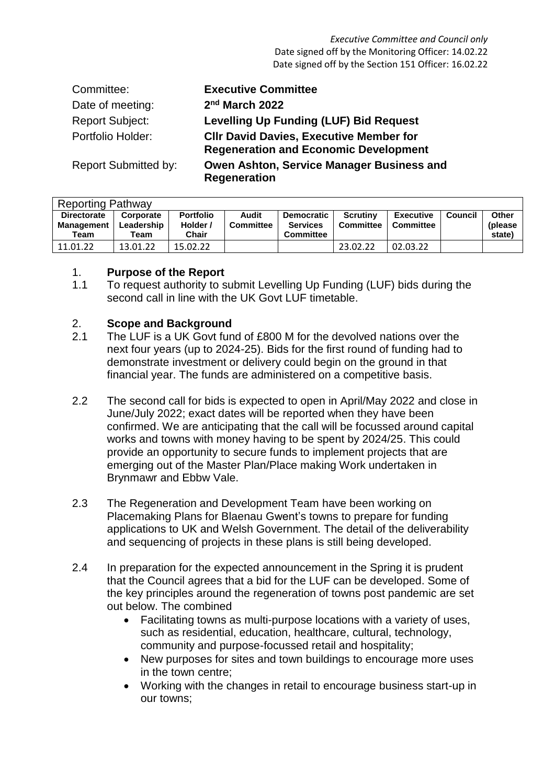*Executive Committee and Council only* Date signed off by the Monitoring Officer: 14.02.22 Date signed off by the Section 151 Officer: 16.02.22

| Committee:                  | <b>Executive Committee</b>                                                                     |
|-----------------------------|------------------------------------------------------------------------------------------------|
| Date of meeting:            | 2nd March 2022                                                                                 |
| <b>Report Subject:</b>      | <b>Levelling Up Funding (LUF) Bid Request</b>                                                  |
| Portfolio Holder:           | <b>CIIr David Davies, Executive Member for</b><br><b>Regeneration and Economic Development</b> |
| <b>Report Submitted by:</b> | Owen Ashton, Service Manager Business and<br><b>Regeneration</b>                               |

| <b>Reporting Pathway</b>                 |                                 |                                       |                           |                                                          |                              |                               |         |                             |  |  |
|------------------------------------------|---------------------------------|---------------------------------------|---------------------------|----------------------------------------------------------|------------------------------|-------------------------------|---------|-----------------------------|--|--|
| <b>Directorate</b><br>Management<br>Team | Corporate<br>Leadership<br>Team | <b>Portfolio</b><br>Holder /<br>Chair | Audit<br><b>Committee</b> | <b>Democratic</b><br><b>Services</b><br><b>Committee</b> | <b>Scrutiny</b><br>Committee | <b>Executive</b><br>Committee | Council | Other<br>(please)<br>state) |  |  |
| 11.01.22                                 | 13.01.22                        | 15.02.22                              |                           |                                                          | 23.02.22                     | 02.03.22                      |         |                             |  |  |

#### 1. **Purpose of the Report**

1.1 To request authority to submit Levelling Up Funding (LUF) bids during the second call in line with the UK Govt LUF timetable.

#### 2. **Scope and Background**

- 2.1 The LUF is a UK Govt fund of £800 M for the devolved nations over the next four years (up to 2024-25). Bids for the first round of funding had to demonstrate investment or delivery could begin on the ground in that financial year. The funds are administered on a competitive basis.
- 2.2 The second call for bids is expected to open in April/May 2022 and close in June/July 2022; exact dates will be reported when they have been confirmed. We are anticipating that the call will be focussed around capital works and towns with money having to be spent by 2024/25. This could provide an opportunity to secure funds to implement projects that are emerging out of the Master Plan/Place making Work undertaken in Brynmawr and Ebbw Vale.
- 2.3 The Regeneration and Development Team have been working on Placemaking Plans for Blaenau Gwent's towns to prepare for funding applications to UK and Welsh Government. The detail of the deliverability and sequencing of projects in these plans is still being developed.
- 2.4 In preparation for the expected announcement in the Spring it is prudent that the Council agrees that a bid for the LUF can be developed. Some of the key principles around the regeneration of towns post pandemic are set out below. The combined
	- Facilitating towns as multi-purpose locations with a variety of uses, such as residential, education, healthcare, cultural, technology, community and purpose-focussed retail and hospitality;
	- New purposes for sites and town buildings to encourage more uses in the town centre;
	- Working with the changes in retail to encourage business start-up in our towns;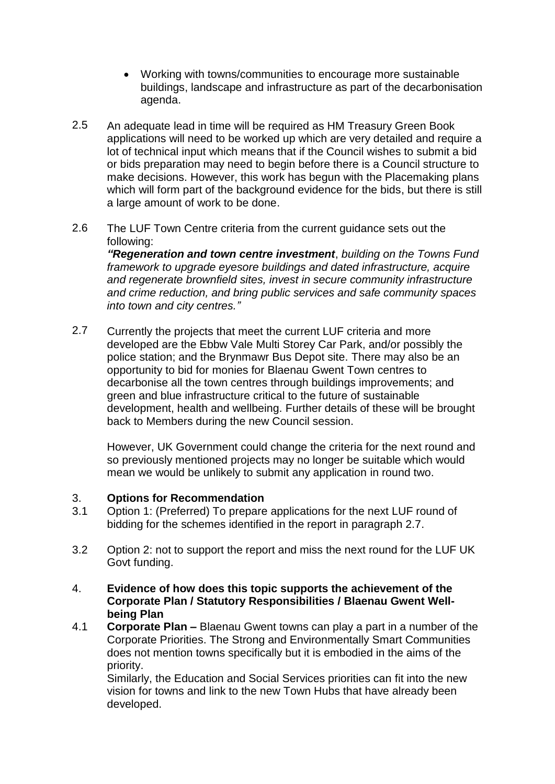- Working with towns/communities to encourage more sustainable buildings, landscape and infrastructure as part of the decarbonisation agenda.
- 2.5 An adequate lead in time will be required as HM Treasury Green Book applications will need to be worked up which are very detailed and require a lot of technical input which means that if the Council wishes to submit a bid or bids preparation may need to begin before there is a Council structure to make decisions. However, this work has begun with the Placemaking plans which will form part of the background evidence for the bids, but there is still a large amount of work to be done.
- 2.6 The LUF Town Centre criteria from the current guidance sets out the following:

*"Regeneration and town centre investment*, *building on the Towns Fund framework to upgrade eyesore buildings and dated infrastructure, acquire and regenerate brownfield sites, invest in secure community infrastructure and crime reduction, and bring public services and safe community spaces into town and city centres."*

2.7 Currently the projects that meet the current LUF criteria and more developed are the Ebbw Vale Multi Storey Car Park, and/or possibly the police station; and the Brynmawr Bus Depot site. There may also be an opportunity to bid for monies for Blaenau Gwent Town centres to decarbonise all the town centres through buildings improvements; and green and blue infrastructure critical to the future of sustainable development, health and wellbeing. Further details of these will be brought back to Members during the new Council session.

However, UK Government could change the criteria for the next round and so previously mentioned projects may no longer be suitable which would mean we would be unlikely to submit any application in round two.

#### 3. **Options for Recommendation**

- 3.1 Option 1: (Preferred) To prepare applications for the next LUF round of bidding for the schemes identified in the report in paragraph 2.7.
- 3.2 Option 2: not to support the report and miss the next round for the LUF UK Govt funding.
- 4. **Evidence of how does this topic supports the achievement of the Corporate Plan / Statutory Responsibilities / Blaenau Gwent Wellbeing Plan**
- 4.1 **Corporate Plan –** Blaenau Gwent towns can play a part in a number of the Corporate Priorities. The Strong and Environmentally Smart Communities does not mention towns specifically but it is embodied in the aims of the priority.

Similarly, the Education and Social Services priorities can fit into the new vision for towns and link to the new Town Hubs that have already been developed.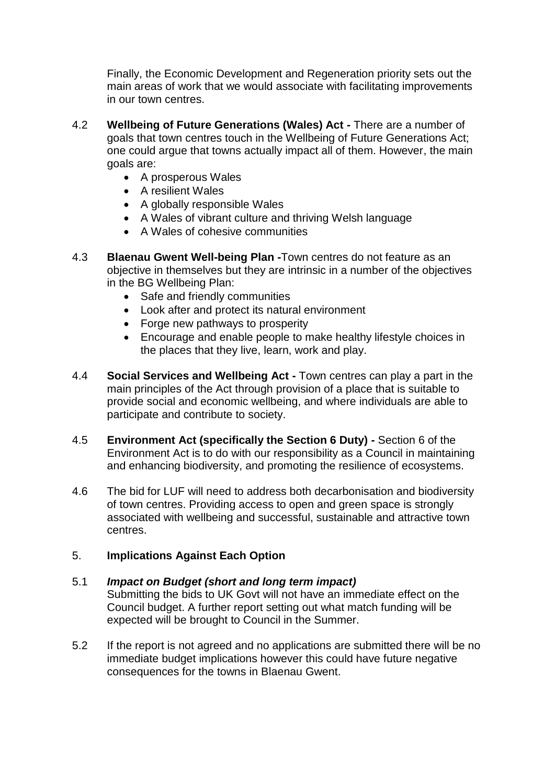Finally, the Economic Development and Regeneration priority sets out the main areas of work that we would associate with facilitating improvements in our town centres.

- 4.2 **Wellbeing of Future Generations (Wales) Act -** There are a number of goals that town centres touch in the Wellbeing of Future Generations Act; one could argue that towns actually impact all of them. However, the main goals are:
	- A prosperous Wales
	- A resilient Wales
	- A globally responsible Wales
	- A Wales of vibrant culture and thriving Welsh language
	- A Wales of cohesive communities
- 4.3 **Blaenau Gwent Well-being Plan -**Town centres do not feature as an objective in themselves but they are intrinsic in a number of the objectives in the BG Wellbeing Plan:
	- Safe and friendly communities
	- Look after and protect its natural environment
	- Forge new pathways to prosperity
	- Encourage and enable people to make healthy lifestyle choices in the places that they live, learn, work and play.
- 4.4 **Social Services and Wellbeing Act -** Town centres can play a part in the main principles of the Act through provision of a place that is suitable to provide social and economic wellbeing, and where individuals are able to participate and contribute to society.
- 4.5 **Environment Act (specifically the Section 6 Duty) -** Section 6 of the Environment Act is to do with our responsibility as a Council in maintaining and enhancing biodiversity, and promoting the resilience of ecosystems.
- 4.6 The bid for LUF will need to address both decarbonisation and biodiversity of town centres. Providing access to open and green space is strongly associated with wellbeing and successful, sustainable and attractive town centres.

#### 5. **Implications Against Each Option**

#### 5.1 *Impact on Budget (short and long term impact)*

Submitting the bids to UK Govt will not have an immediate effect on the Council budget. A further report setting out what match funding will be expected will be brought to Council in the Summer.

5.2 If the report is not agreed and no applications are submitted there will be no immediate budget implications however this could have future negative consequences for the towns in Blaenau Gwent.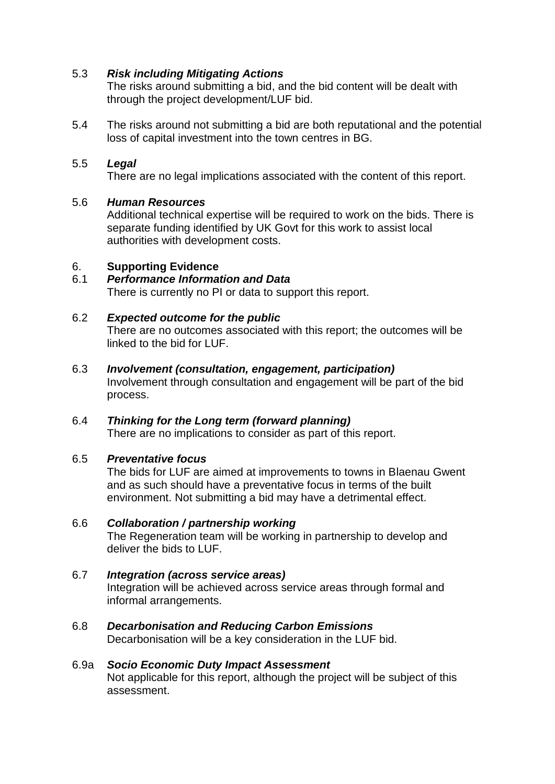#### 5.3 *Risk including Mitigating Actions*

The risks around submitting a bid, and the bid content will be dealt with through the project development/LUF bid.

5.4 The risks around not submitting a bid are both reputational and the potential loss of capital investment into the town centres in BG.

#### 5.5 *Legal*

There are no legal implications associated with the content of this report.

#### 5.6 *Human Resources*

Additional technical expertise will be required to work on the bids. There is separate funding identified by UK Govt for this work to assist local authorities with development costs.

#### 6. **Supporting Evidence**

#### 6.1 *Performance Information and Data*  There is currently no PI or data to support this report.

#### 6.2 *Expected outcome for the public*

There are no outcomes associated with this report; the outcomes will be linked to the bid for LUF.

# 6.3 *Involvement (consultation, engagement, participation)*

Involvement through consultation and engagement will be part of the bid process.

6.4 *Thinking for the Long term (forward planning)*  There are no implications to consider as part of this report.

### 6.5 *Preventative focus*

The bids for LUF are aimed at improvements to towns in Blaenau Gwent and as such should have a preventative focus in terms of the built environment. Not submitting a bid may have a detrimental effect.

### 6.6 *Collaboration / partnership working*

The Regeneration team will be working in partnership to develop and deliver the bids to LUF.

### 6.7 *Integration (across service areas)*

Integration will be achieved across service areas through formal and informal arrangements.

# 6.8 *Decarbonisation and Reducing Carbon Emissions*

Decarbonisation will be a key consideration in the LUF bid.

#### 6.9a *Socio Economic Duty Impact Assessment*

Not applicable for this report, although the project will be subject of this assessment.